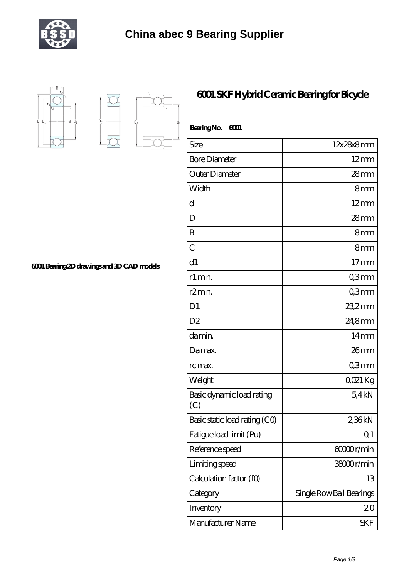



 $D_a$ 

## **[6001 Bearing 2D drawings and 3D CAD models](https://m.tourethiopiatravel.com/pic-681154.html)**

 $\overrightarrow{D}$ 

## **[6001 SKF Hybrid Ceramic Bearing for Bicycle](https://m.tourethiopiatravel.com/6001-ceramic-bearing/681154.html)**

| Bearing No.<br>6001              |                          |
|----------------------------------|--------------------------|
| Size                             | 12x28x8mm                |
| <b>Bore Diameter</b>             | $12 \text{mm}$           |
| Outer Diameter                   | $28$ mm                  |
| Width                            | 8mm                      |
| d                                | $12 \text{mm}$           |
| D                                | 28mm                     |
| B                                | 8mm                      |
| $\overline{C}$                   | 8mm                      |
| d1                               | $17 \text{mm}$           |
| r1 min.                          | Q3mm                     |
| r2min.                           | Q3mm                     |
| D <sub>1</sub>                   | 23,2mm                   |
| D <sub>2</sub>                   | 24,8mm                   |
| damin.                           | $14 \text{mm}$           |
| Damax.                           | $26$ mm                  |
| rc max.                          | Q3mm                     |
| Weight                           | QO21 Kg                  |
| Basic dynamic load rating<br>(C) | 54kN                     |
| Basic static load rating (CO)    | 2,36kN                   |
| Fatigue load limit (Pu)          | Q <sub>1</sub>           |
| Reference speed                  | 60000r/min               |
| Limiting speed                   | 38000r/min               |
| Calculation factor (f0)          | 13                       |
| Category                         | Single Row Ball Bearings |
| Inventory                        | 20                       |
| Manufacturer Name                | <b>SKF</b>               |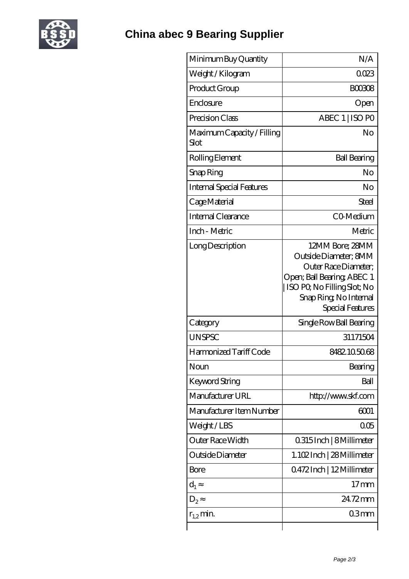

| Minimum Buy Quantity               | N/A                                                                                                                                                                         |
|------------------------------------|-----------------------------------------------------------------------------------------------------------------------------------------------------------------------------|
| Weight / Kilogram                  | 0023                                                                                                                                                                        |
| Product Group                      | <b>BOO308</b>                                                                                                                                                               |
| Enclosure                          | Open                                                                                                                                                                        |
| Precision Class                    | ABEC 1   ISO PO                                                                                                                                                             |
| Maximum Capacity / Filling<br>Slot | No                                                                                                                                                                          |
| Rolling Element                    | <b>Ball Bearing</b>                                                                                                                                                         |
| Snap Ring                          | No                                                                                                                                                                          |
| <b>Internal Special Features</b>   | No                                                                                                                                                                          |
| Cage Material                      | Steel                                                                                                                                                                       |
| Internal Clearance                 | CO-Medium                                                                                                                                                                   |
| Inch - Metric                      | Metric                                                                                                                                                                      |
| Long Description                   | 12MM Bore; 28MM<br>Outside Diameter; 8MM<br>Outer Race Diameter:<br>Open; Ball Bearing; ABEC 1<br>ISO PO, No Filling Slot; No<br>Snap Ring, No Internal<br>Special Features |
| Category                           | Single Row Ball Bearing                                                                                                                                                     |
| <b>UNSPSC</b>                      | 31171504                                                                                                                                                                    |
| Harmonized Tariff Code             | 8482105068                                                                                                                                                                  |
| Noun                               | Bearing                                                                                                                                                                     |
| Keyword String                     | Ball                                                                                                                                                                        |
| Manufacturer URL                   | http://www.skf.com                                                                                                                                                          |
| Manufacturer Item Number           | 6001                                                                                                                                                                        |
| Weight/LBS                         | 005                                                                                                                                                                         |
| Outer Race Width                   | 0.315 Inch   8 Millimeter                                                                                                                                                   |
| Outside Diameter                   | 1.102Inch   28 Millimeter                                                                                                                                                   |
| <b>Bore</b>                        | 0472Inch   12Millimeter                                                                                                                                                     |
| $d_1$                              | $17 \text{mm}$                                                                                                                                                              |
| $D_2$                              | 24.72mm                                                                                                                                                                     |
| $r_{1,2}$ min.                     | 03 <sub>mm</sub>                                                                                                                                                            |
|                                    |                                                                                                                                                                             |